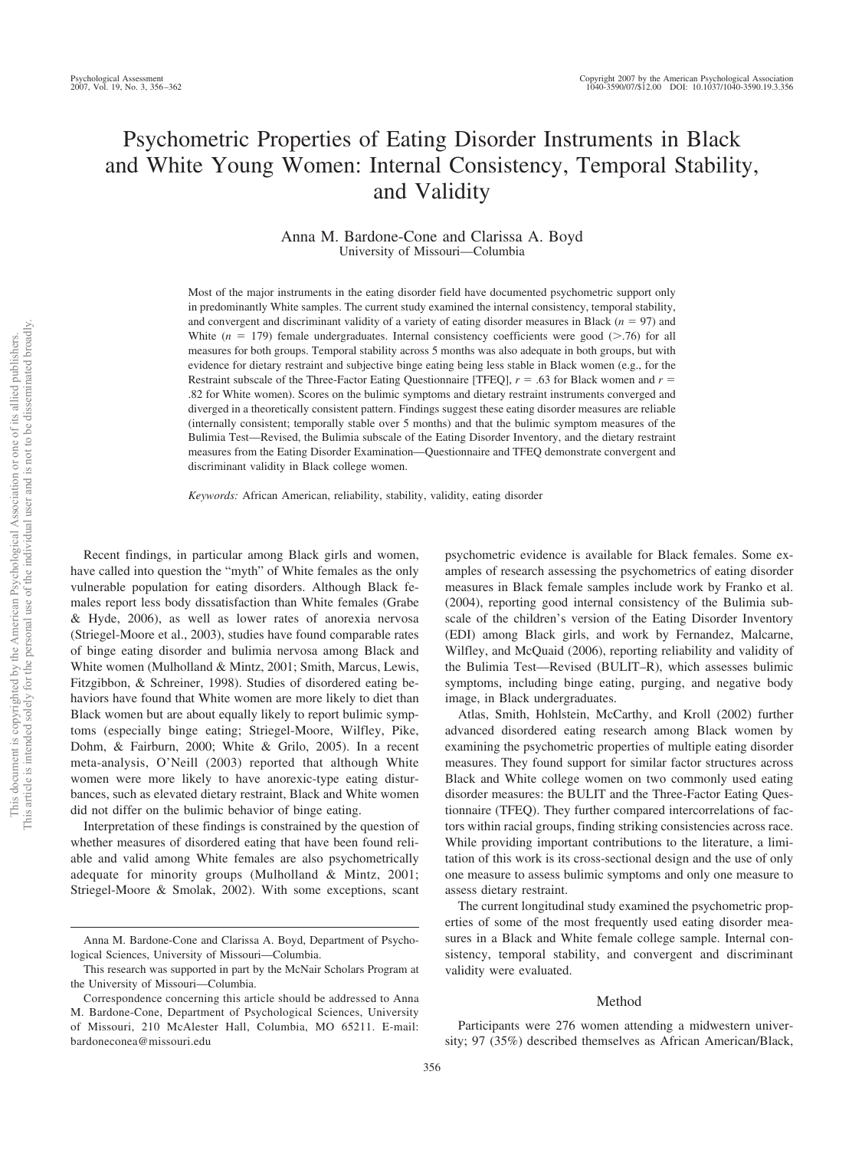# Psychometric Properties of Eating Disorder Instruments in Black and White Young Women: Internal Consistency, Temporal Stability, and Validity

Anna M. Bardone-Cone and Clarissa A. Boyd University of Missouri—Columbia

Most of the major instruments in the eating disorder field have documented psychometric support only in predominantly White samples. The current study examined the internal consistency, temporal stability, and convergent and discriminant validity of a variety of eating disorder measures in Black  $(n = 97)$  and White  $(n = 179)$  female undergraduates. Internal consistency coefficients were good ( $> 76$ ) for all measures for both groups. Temporal stability across 5 months was also adequate in both groups, but with evidence for dietary restraint and subjective binge eating being less stable in Black women (e.g., for the Restraint subscale of the Three-Factor Eating Questionnaire [TFEQ],  $r = .63$  for Black women and  $r =$ .82 for White women). Scores on the bulimic symptoms and dietary restraint instruments converged and diverged in a theoretically consistent pattern. Findings suggest these eating disorder measures are reliable (internally consistent; temporally stable over 5 months) and that the bulimic symptom measures of the Bulimia Test—Revised, the Bulimia subscale of the Eating Disorder Inventory, and the dietary restraint measures from the Eating Disorder Examination—Questionnaire and TFEQ demonstrate convergent and discriminant validity in Black college women.

*Keywords:* African American, reliability, stability, validity, eating disorder

Recent findings, in particular among Black girls and women, have called into question the "myth" of White females as the only vulnerable population for eating disorders. Although Black females report less body dissatisfaction than White females (Grabe & Hyde, 2006), as well as lower rates of anorexia nervosa (Striegel-Moore et al., 2003), studies have found comparable rates of binge eating disorder and bulimia nervosa among Black and White women (Mulholland & Mintz, 2001; Smith, Marcus, Lewis, Fitzgibbon, & Schreiner, 1998). Studies of disordered eating behaviors have found that White women are more likely to diet than Black women but are about equally likely to report bulimic symptoms (especially binge eating; Striegel-Moore, Wilfley, Pike, Dohm, & Fairburn, 2000; White & Grilo, 2005). In a recent meta-analysis, O'Neill (2003) reported that although White women were more likely to have anorexic-type eating disturbances, such as elevated dietary restraint, Black and White women did not differ on the bulimic behavior of binge eating.

Interpretation of these findings is constrained by the question of whether measures of disordered eating that have been found reliable and valid among White females are also psychometrically adequate for minority groups (Mulholland & Mintz, 2001; Striegel-Moore & Smolak, 2002). With some exceptions, scant

psychometric evidence is available for Black females. Some examples of research assessing the psychometrics of eating disorder measures in Black female samples include work by Franko et al. (2004), reporting good internal consistency of the Bulimia subscale of the children's version of the Eating Disorder Inventory (EDI) among Black girls, and work by Fernandez, Malcarne, Wilfley, and McQuaid (2006), reporting reliability and validity of the Bulimia Test—Revised (BULIT–R), which assesses bulimic symptoms, including binge eating, purging, and negative body image, in Black undergraduates.

Atlas, Smith, Hohlstein, McCarthy, and Kroll (2002) further advanced disordered eating research among Black women by examining the psychometric properties of multiple eating disorder measures. They found support for similar factor structures across Black and White college women on two commonly used eating disorder measures: the BULIT and the Three-Factor Eating Questionnaire (TFEQ). They further compared intercorrelations of factors within racial groups, finding striking consistencies across race. While providing important contributions to the literature, a limitation of this work is its cross-sectional design and the use of only one measure to assess bulimic symptoms and only one measure to assess dietary restraint.

The current longitudinal study examined the psychometric properties of some of the most frequently used eating disorder measures in a Black and White female college sample. Internal consistency, temporal stability, and convergent and discriminant validity were evaluated.

#### Method

Participants were 276 women attending a midwestern university; 97 (35%) described themselves as African American/Black,

Anna M. Bardone-Cone and Clarissa A. Boyd, Department of Psychological Sciences, University of Missouri—Columbia.

This research was supported in part by the McNair Scholars Program at the University of Missouri—Columbia.

Correspondence concerning this article should be addressed to Anna M. Bardone-Cone, Department of Psychological Sciences, University of Missouri, 210 McAlester Hall, Columbia, MO 65211. E-mail: bardoneconea@missouri.edu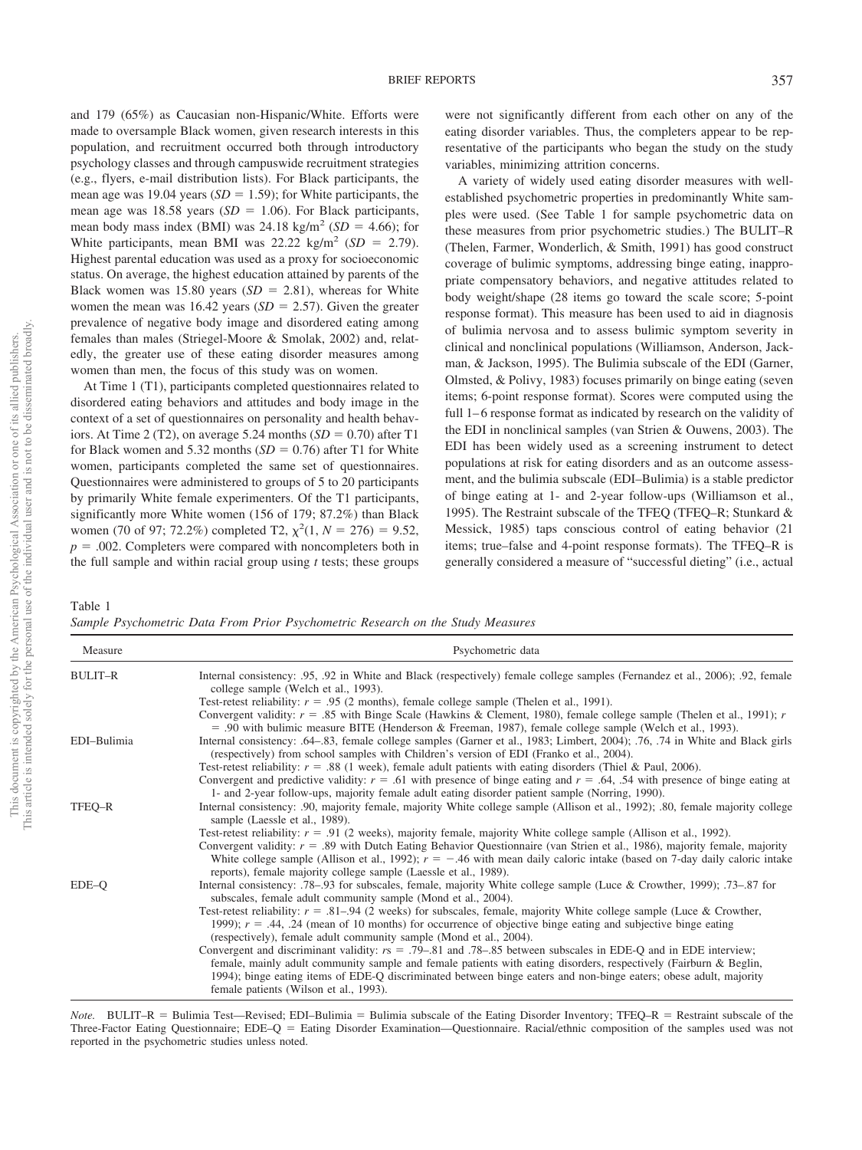and 179 (65%) as Caucasian non-Hispanic/White. Efforts were made to oversample Black women, given research interests in this population, and recruitment occurred both through introductory psychology classes and through campuswide recruitment strategies (e.g., flyers, e-mail distribution lists). For Black participants, the mean age was 19.04 years  $(SD = 1.59)$ ; for White participants, the mean age was 18.58 years  $(SD = 1.06)$ . For Black participants, mean body mass index (BMI) was  $24.18 \text{ kg/m}^2$  (*SD* = 4.66); for White participants, mean BMI was  $22.22 \text{ kg/m}^2$  (*SD* = 2.79). Highest parental education was used as a proxy for socioeconomic status. On average, the highest education attained by parents of the Black women was 15.80 years  $(SD = 2.81)$ , whereas for White women the mean was 16.42 years  $(SD = 2.57)$ . Given the greater prevalence of negative body image and disordered eating among females than males (Striegel-Moore & Smolak, 2002) and, relatedly, the greater use of these eating disorder measures among women than men, the focus of this study was on women.

At Time 1 (T1), participants completed questionnaires related to disordered eating behaviors and attitudes and body image in the context of a set of questionnaires on personality and health behaviors. At Time 2 (T2), on average 5.24 months  $(SD = 0.70)$  after T1 for Black women and 5.32 months  $(SD = 0.76)$  after T1 for White women, participants completed the same set of questionnaires. Questionnaires were administered to groups of 5 to 20 participants by primarily White female experimenters. Of the T1 participants, significantly more White women (156 of 179; 87.2%) than Black women (70 of 97; 72.2%) completed T2,  $\chi^2(1, N = 276) = 9.52$ ,  $p = .002$ . Completers were compared with noncompleters both in the full sample and within racial group using *t* tests; these groups were not significantly different from each other on any of the eating disorder variables. Thus, the completers appear to be representative of the participants who began the study on the study variables, minimizing attrition concerns.

A variety of widely used eating disorder measures with wellestablished psychometric properties in predominantly White samples were used. (See Table 1 for sample psychometric data on these measures from prior psychometric studies.) The BULIT–R (Thelen, Farmer, Wonderlich, & Smith, 1991) has good construct coverage of bulimic symptoms, addressing binge eating, inappropriate compensatory behaviors, and negative attitudes related to body weight/shape (28 items go toward the scale score; 5-point response format). This measure has been used to aid in diagnosis of bulimia nervosa and to assess bulimic symptom severity in clinical and nonclinical populations (Williamson, Anderson, Jackman, & Jackson, 1995). The Bulimia subscale of the EDI (Garner, Olmsted, & Polivy, 1983) focuses primarily on binge eating (seven items; 6-point response format). Scores were computed using the full 1–6 response format as indicated by research on the validity of the EDI in nonclinical samples (van Strien & Ouwens, 2003). The EDI has been widely used as a screening instrument to detect populations at risk for eating disorders and as an outcome assessment, and the bulimia subscale (EDI–Bulimia) is a stable predictor of binge eating at 1- and 2-year follow-ups (Williamson et al., 1995). The Restraint subscale of the TFEQ (TFEQ–R; Stunkard & Messick, 1985) taps conscious control of eating behavior (21 items; true–false and 4-point response formats). The TFEQ–R is generally considered a measure of "successful dieting" (i.e., actual

Table 1 *Sample Psychometric Data From Prior Psychometric Research on the Study Measures*

| Measure        | Psychometric data                                                                                                                                                                                                                         |
|----------------|-------------------------------------------------------------------------------------------------------------------------------------------------------------------------------------------------------------------------------------------|
| <b>BULIT-R</b> | Internal consistency: .95, .92 in White and Black (respectively) female college samples (Fernandez et al., 2006); .92, female<br>college sample (Welch et al., 1993).                                                                     |
|                | Test-retest reliability: $r = .95$ (2 months), female college sample (Thelen et al., 1991).                                                                                                                                               |
|                | Convergent validity: $r = .85$ with Binge Scale (Hawkins & Clement, 1980), female college sample (Thelen et al., 1991); r                                                                                                                 |
|                | $=$ .90 with bulimic measure BITE (Henderson & Freeman, 1987), female college sample (Welch et al., 1993).                                                                                                                                |
| EDI-Bulimia    | Internal consistency: .64–.83, female college samples (Garner et al., 1983; Limbert, 2004); .76, .74 in White and Black girls                                                                                                             |
|                | (respectively) from school samples with Children's version of EDI (Franko et al., 2004).                                                                                                                                                  |
|                | Test-retest reliability: $r = .88$ (1 week), female adult patients with eating disorders (Thiel & Paul, 2006).                                                                                                                            |
|                | Convergent and predictive validity: $r = .61$ with presence of binge eating and $r = .64$ , .54 with presence of binge eating at<br>1- and 2-year follow-ups, majority female adult eating disorder patient sample (Norring, 1990).       |
| TFEQ-R         | Internal consistency: .90, majority female, majority White college sample (Allison et al., 1992); .80, female majority college<br>sample (Laessle et al., 1989).                                                                          |
|                | Test-retest reliability: $r = .91$ (2 weeks), majority female, majority White college sample (Allison et al., 1992).                                                                                                                      |
|                | Convergent validity: $r = .89$ with Dutch Eating Behavior Questionnaire (van Strien et al., 1986), majority female, majority                                                                                                              |
|                | White college sample (Allison et al., 1992); $r = -0.46$ with mean daily caloric intake (based on 7-day daily caloric intake<br>reports), female majority college sample (Laessle et al., 1989).                                          |
| EDE-O          | Internal consistency: .78–.93 for subscales, female, majority White college sample (Luce & Crowther, 1999); .73–.87 for<br>subscales, female adult community sample (Mond et al., 2004).                                                  |
|                | Test-retest reliability: $r = .81-94$ (2 weeks) for subscales, female, majority White college sample (Luce & Crowther,<br>1999); $r = .44$ , .24 (mean of 10 months) for occurrence of objective binge eating and subjective binge eating |
|                | (respectively), female adult community sample (Mond et al., 2004).                                                                                                                                                                        |
|                | Convergent and discriminant validity: $rs = .79-.81$ and .78-.85 between subscales in EDE-Q and in EDE interview;                                                                                                                         |
|                | female, mainly adult community sample and female patients with eating disorders, respectively (Fairburn & Beglin,                                                                                                                         |
|                | 1994); binge eating items of EDE-Q discriminated between binge eaters and non-binge eaters; obese adult, majority                                                                                                                         |
|                | female patients (Wilson et al., 1993).                                                                                                                                                                                                    |

*Note.* BULIT–R = Bulimia Test—Revised; EDI–Bulimia = Bulimia subscale of the Eating Disorder Inventory; TFEQ–R = Restraint subscale of the Three-Factor Eating Questionnaire; EDE–Q Eating Disorder Examination—Questionnaire. Racial/ethnic composition of the samples used was not reported in the psychometric studies unless noted.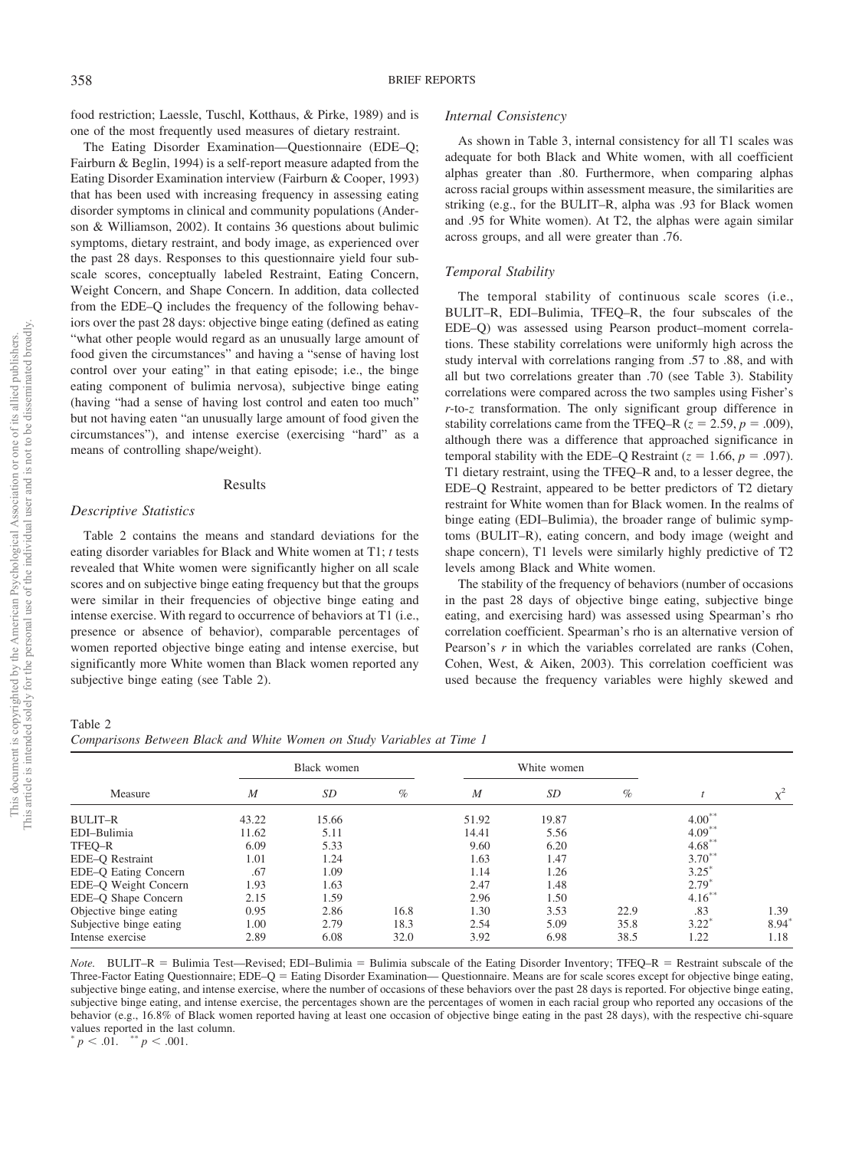food restriction; Laessle, Tuschl, Kotthaus, & Pirke, 1989) and is one of the most frequently used measures of dietary restraint.

The Eating Disorder Examination—Questionnaire (EDE–Q; Fairburn & Beglin, 1994) is a self-report measure adapted from the Eating Disorder Examination interview (Fairburn & Cooper, 1993) that has been used with increasing frequency in assessing eating disorder symptoms in clinical and community populations (Anderson & Williamson, 2002). It contains 36 questions about bulimic symptoms, dietary restraint, and body image, as experienced over the past 28 days. Responses to this questionnaire yield four subscale scores, conceptually labeled Restraint, Eating Concern, Weight Concern, and Shape Concern. In addition, data collected from the EDE–Q includes the frequency of the following behaviors over the past 28 days: objective binge eating (defined as eating "what other people would regard as an unusually large amount of food given the circumstances" and having a "sense of having lost control over your eating" in that eating episode; i.e., the binge eating component of bulimia nervosa), subjective binge eating (having "had a sense of having lost control and eaten too much" but not having eaten "an unusually large amount of food given the circumstances"), and intense exercise (exercising "hard" as a means of controlling shape/weight).

#### Results

# *Descriptive Statistics*

Table 2 contains the means and standard deviations for the eating disorder variables for Black and White women at T1; *t* tests revealed that White women were significantly higher on all scale scores and on subjective binge eating frequency but that the groups were similar in their frequencies of objective binge eating and intense exercise. With regard to occurrence of behaviors at T1 (i.e., presence or absence of behavior), comparable percentages of women reported objective binge eating and intense exercise, but significantly more White women than Black women reported any subjective binge eating (see Table 2).

#### *Internal Consistency*

As shown in Table 3, internal consistency for all T1 scales was adequate for both Black and White women, with all coefficient alphas greater than .80. Furthermore, when comparing alphas across racial groups within assessment measure, the similarities are striking (e.g., for the BULIT–R, alpha was .93 for Black women and .95 for White women). At T2, the alphas were again similar across groups, and all were greater than .76.

#### *Temporal Stability*

The temporal stability of continuous scale scores (i.e., BULIT–R, EDI–Bulimia, TFEQ–R, the four subscales of the EDE–Q) was assessed using Pearson product–moment correlations. These stability correlations were uniformly high across the study interval with correlations ranging from .57 to .88, and with all but two correlations greater than .70 (see Table 3). Stability correlations were compared across the two samples using Fisher's *r*-to-*z* transformation. The only significant group difference in stability correlations came from the TFEQ–R ( $z = 2.59$ ,  $p = .009$ ), although there was a difference that approached significance in temporal stability with the EDE–Q Restraint  $(z = 1.66, p = .097)$ . T1 dietary restraint, using the TFEQ–R and, to a lesser degree, the EDE–Q Restraint, appeared to be better predictors of T2 dietary restraint for White women than for Black women. In the realms of binge eating (EDI–Bulimia), the broader range of bulimic symptoms (BULIT–R), eating concern, and body image (weight and shape concern), T1 levels were similarly highly predictive of T2 levels among Black and White women.

The stability of the frequency of behaviors (number of occasions in the past 28 days of objective binge eating, subjective binge eating, and exercising hard) was assessed using Spearman's rho correlation coefficient. Spearman's rho is an alternative version of Pearson's *r* in which the variables correlated are ranks (Cohen, Cohen, West, & Aiken, 2003). This correlation coefficient was used because the frequency variables were highly skewed and

*Comparisons Between Black and White Women on Study Variables at Time 1*

|                         | Black women      |           |      |                  | White women |      |           |                  |
|-------------------------|------------------|-----------|------|------------------|-------------|------|-----------|------------------|
| Measure                 | $\boldsymbol{M}$ | <i>SD</i> | $\%$ | $\boldsymbol{M}$ | SD          | $\%$ |           | $\chi^2$         |
| <b>BULIT-R</b>          | 43.22            | 15.66     |      | 51.92            | 19.87       |      | $4.00***$ |                  |
| EDI-Bulimia             | 11.62            | 5.11      |      | 14.41            | 5.56        |      | $4.09***$ |                  |
| TFEQ-R                  | 6.09             | 5.33      |      | 9.60             | 6.20        |      | $4.68***$ |                  |
| EDE-Q Restraint         | 1.01             | 1.24      |      | 1.63             | 1.47        |      | $3.70***$ |                  |
| EDE-Q Eating Concern    | .67              | 1.09      |      | 1.14             | 1.26        |      | $3.25^*$  |                  |
| EDE-Q Weight Concern    | 1.93             | 1.63      |      | 2.47             | 1.48        |      | $2.79*$   |                  |
| EDE-Q Shape Concern     | 2.15             | 1.59      |      | 2.96             | 1.50        |      | $4.16***$ |                  |
| Objective binge eating  | 0.95             | 2.86      | 16.8 | 1.30             | 3.53        | 22.9 | .83       | 1.39             |
| Subjective binge eating | 1.00             | 2.79      | 18.3 | 2.54             | 5.09        | 35.8 | $3.22*$   | $8.94^{\degree}$ |
| Intense exercise        | 2.89             | 6.08      | 32.0 | 3.92             | 6.98        | 38.5 | 1.22      | 1.18             |

*Note.* BULIT–R = Bulimia Test—Revised; EDI–Bulimia = Bulimia subscale of the Eating Disorder Inventory; TFEQ–R = Restraint subscale of the Three-Factor Eating Questionnaire; EDE–Q = Eating Disorder Examination— Questionnaire. Means are for scale scores except for objective binge eating, subjective binge eating, and intense exercise, where the number of occasions of these behaviors over the past 28 days is reported. For objective binge eating, subjective binge eating, and intense exercise, the percentages shown are the percentages of women in each racial group who reported any occasions of the behavior (e.g., 16.8% of Black women reported having at least one occasion of objective binge eating in the past 28 days), with the respective chi-square values reported in the last column.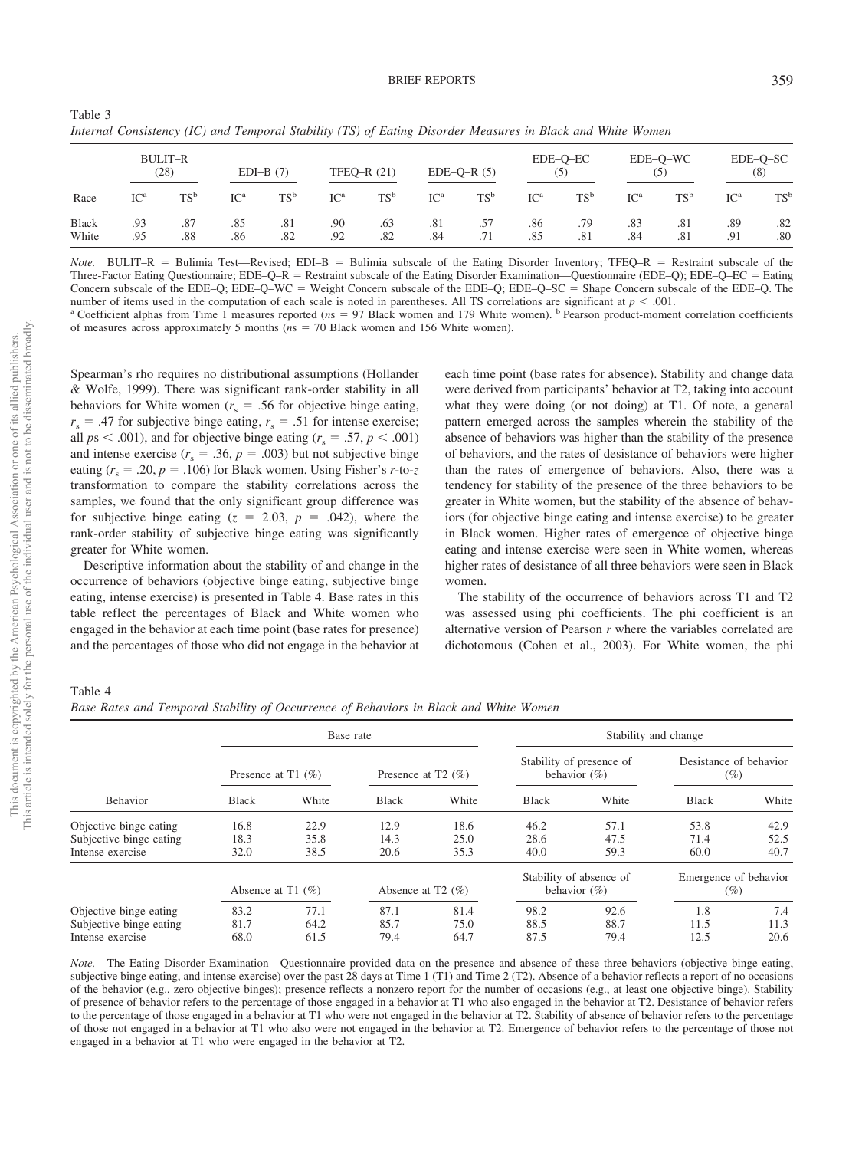| Table 3 |                                                                                                            |  |  |  |  |  |
|---------|------------------------------------------------------------------------------------------------------------|--|--|--|--|--|
|         | Internal Consistency (IC) and Temporal Stability (TS) of Eating Disorder Measures in Black and White Women |  |  |  |  |  |

| BULIT-R<br>(28)<br>$EDI-B(7)$ |            |            | $EDE-O-R(5)$<br>TFEO-R $(21)$ |            |            | EDE-O-EC<br>(5) |            | EDE-O-WC<br>(5) |            | EDE-O-SC<br>(8) |            |            |            |            |
|-------------------------------|------------|------------|-------------------------------|------------|------------|-----------------|------------|-----------------|------------|-----------------|------------|------------|------------|------------|
| Race                          | $IC^a$     | $TS^b$     | $IC^a$                        | $TS^b$     | $IC^a$     | $TS^b$          | $IC^a$     | $TS^b$          | $IC^a$     | $TS^b$          | $IC^a$     | $TS^b$     | $IC^a$     | $TS^b$     |
| <b>Black</b><br>White         | .93<br>.95 | .87<br>.88 | .85<br>.86                    | .81<br>.82 | .90<br>.92 | .63<br>.82      | .81<br>.84 | .57<br>.71      | .86<br>.85 | .79<br>.81      | .83<br>.84 | .81<br>.81 | .89<br>.91 | .82<br>.80 |

*Note.* BULIT–R = Bulimia Test–Revised; EDI–B = Bulimia subscale of the Eating Disorder Inventory; TFEQ–R = Restraint subscale of the Three-Factor Eating Questionnaire; EDE–Q–R = Restraint subscale of the Eating Disorder Examination—Questionnaire (EDE–Q); EDE–Q–EC = Eating Concern subscale of the EDE–Q; EDE–Q–WC = Weight Concern subscale of the EDE–Q; EDE–Q–SC = Shape Concern subscale of the EDE–Q. The number of items used in the computation of each scale is noted in parentheses. All TS cor

<sup>a</sup> Coefficient alphas from Time 1 measures reported ( $ns = 97$  Black women and 179 White women). <sup>b</sup> Pearson product-moment correlation coefficients of measures across approximately 5 months (*n*s 70 Black women and 156 White women).

Spearman's rho requires no distributional assumptions (Hollander & Wolfe, 1999). There was significant rank-order stability in all behaviors for White women ( $r_s = .56$  for objective binge eating,  $r<sub>s</sub> = .47$  for subjective binge eating,  $r<sub>s</sub> = .51$  for intense exercise; all  $ps < .001$ ), and for objective binge eating ( $r_s = .57$ ,  $p < .001$ ) and intense exercise ( $r_s$  = .36,  $p$  = .003) but not subjective binge eating  $(r_s = .20, p = .106)$  for Black women. Using Fisher's *r*-to-*z* transformation to compare the stability correlations across the samples, we found that the only significant group difference was for subjective binge eating  $(z = 2.03, p = .042)$ , where the rank-order stability of subjective binge eating was significantly greater for White women.

Descriptive information about the stability of and change in the occurrence of behaviors (objective binge eating, subjective binge eating, intense exercise) is presented in Table 4. Base rates in this table reflect the percentages of Black and White women who engaged in the behavior at each time point (base rates for presence) and the percentages of those who did not engage in the behavior at each time point (base rates for absence). Stability and change data were derived from participants' behavior at T2, taking into account what they were doing (or not doing) at T1. Of note, a general pattern emerged across the samples wherein the stability of the absence of behaviors was higher than the stability of the presence of behaviors, and the rates of desistance of behaviors were higher than the rates of emergence of behaviors. Also, there was a tendency for stability of the presence of the three behaviors to be greater in White women, but the stability of the absence of behaviors (for objective binge eating and intense exercise) to be greater in Black women. Higher rates of emergence of objective binge eating and intense exercise were seen in White women, whereas higher rates of desistance of all three behaviors were seen in Black women.

The stability of the occurrence of behaviors across T1 and T2 was assessed using phi coefficients. The phi coefficient is an alternative version of Pearson *r* where the variables correlated are dichotomous (Cohen et al., 2003). For White women, the phi

#### Table 4

*Base Rates and Temporal Stability of Occurrence of Behaviors in Black and White Women*

|                         |                       | Base rate |                       |       | Stability and change                       |                                             |                                  |       |  |  |
|-------------------------|-----------------------|-----------|-----------------------|-------|--------------------------------------------|---------------------------------------------|----------------------------------|-------|--|--|
|                         | Presence at T1 $(\%)$ |           | Presence at T2 $(\%)$ |       |                                            | Stability of presence of<br>behavior $(\%)$ | Desistance of behavior<br>$(\%)$ |       |  |  |
| <b>Behavior</b>         | <b>Black</b>          | White     | <b>Black</b>          | White | <b>Black</b>                               | White                                       | <b>Black</b>                     | White |  |  |
| Objective binge eating  | 16.8                  | 22.9      | 12.9                  | 18.6  | 46.2                                       | 57.1                                        | 53.8                             | 42.9  |  |  |
| Subjective binge eating | 18.3                  | 35.8      | 14.3                  | 25.0  | 28.6                                       | 47.5                                        | 71.4                             | 52.5  |  |  |
| Intense exercise        | 32.0                  | 38.5      | 20.6                  | 35.3  | 40.0                                       | 59.3                                        | 60.0                             | 40.7  |  |  |
|                         | Absence at T1 $(\% )$ |           | Absence at T2 $(\%)$  |       | Stability of absence of<br>behavior $(\%)$ |                                             | Emergence of behavior<br>(%)     |       |  |  |
| Objective binge eating  | 83.2                  | 77.1      | 87.1                  | 81.4  | 98.2                                       | 92.6                                        | 1.8                              | 7.4   |  |  |
| Subjective binge eating | 81.7                  | 64.2      | 85.7                  | 75.0  | 88.5                                       | 88.7                                        | 11.5                             | 11.3  |  |  |
| Intense exercise        | 68.0                  | 61.5      | 79.4                  | 64.7  | 87.5                                       | 79.4                                        | 12.5                             | 20.6  |  |  |

*Note.* The Eating Disorder Examination—Questionnaire provided data on the presence and absence of these three behaviors (objective binge eating, subjective binge eating, and intense exercise) over the past 28 days at Time 1 (T1) and Time 2 (T2). Absence of a behavior reflects a report of no occasions of the behavior (e.g., zero objective binges); presence reflects a nonzero report for the number of occasions (e.g., at least one objective binge). Stability of presence of behavior refers to the percentage of those engaged in a behavior at T1 who also engaged in the behavior at T2. Desistance of behavior refers to the percentage of those engaged in a behavior at T1 who were not engaged in the behavior at T2. Stability of absence of behavior refers to the percentage of those not engaged in a behavior at T1 who also were not engaged in the behavior at T2. Emergence of behavior refers to the percentage of those not engaged in a behavior at T1 who were engaged in the behavior at T2.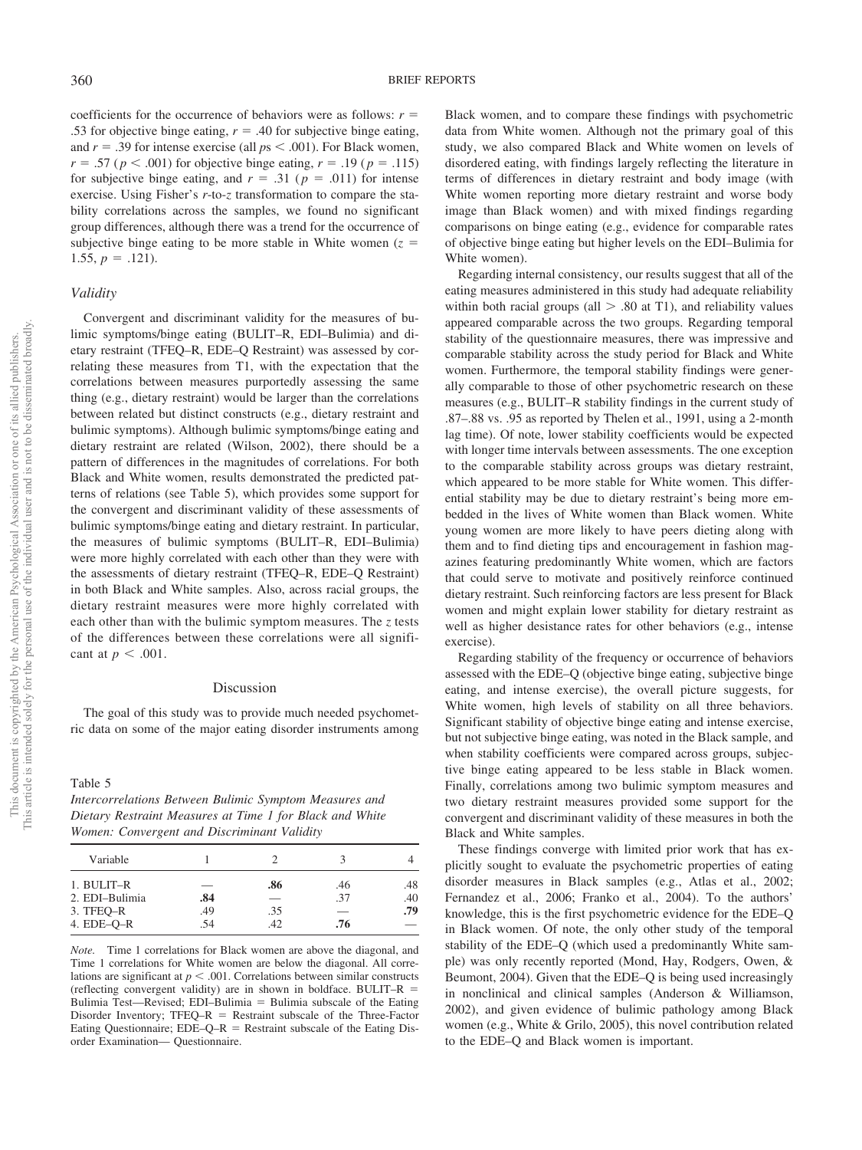coefficients for the occurrence of behaviors were as follows:  $r =$ .53 for objective binge eating,  $r = .40$  for subjective binge eating, and  $r = .39$  for intense exercise (all  $ps < .001$ ). For Black women,  $r = .57$  ( $p < .001$ ) for objective binge eating,  $r = .19$  ( $p = .115$ ) for subjective binge eating, and  $r = .31$  ( $p = .011$ ) for intense exercise. Using Fisher's *r*-to-*z* transformation to compare the stability correlations across the samples, we found no significant group differences, although there was a trend for the occurrence of subjective binge eating to be more stable in White women  $(z =$ 1.55,  $p = .121$ ).

## *Validity*

Convergent and discriminant validity for the measures of bulimic symptoms/binge eating (BULIT–R, EDI–Bulimia) and dietary restraint (TFEQ–R, EDE–Q Restraint) was assessed by correlating these measures from T1, with the expectation that the correlations between measures purportedly assessing the same thing (e.g., dietary restraint) would be larger than the correlations between related but distinct constructs (e.g., dietary restraint and bulimic symptoms). Although bulimic symptoms/binge eating and dietary restraint are related (Wilson, 2002), there should be a pattern of differences in the magnitudes of correlations. For both Black and White women, results demonstrated the predicted patterns of relations (see Table 5), which provides some support for the convergent and discriminant validity of these assessments of bulimic symptoms/binge eating and dietary restraint. In particular, the measures of bulimic symptoms (BULIT–R, EDI–Bulimia) were more highly correlated with each other than they were with the assessments of dietary restraint (TFEQ–R, EDE–Q Restraint) in both Black and White samples. Also, across racial groups, the dietary restraint measures were more highly correlated with each other than with the bulimic symptom measures. The *z* tests of the differences between these correlations were all significant at  $p < .001$ .

### Discussion

The goal of this study was to provide much needed psychometric data on some of the major eating disorder instruments among

# Table 5

*Intercorrelations Between Bulimic Symptom Measures and Dietary Restraint Measures at Time 1 for Black and White Women: Convergent and Discriminant Validity*

| Variable       |     |     |     |     |
|----------------|-----|-----|-----|-----|
| 1. BULIT-R     |     | .86 | .46 | .48 |
| 2. EDI-Bulimia | .84 | _   | .37 | .40 |
| 3. TFEO-R      | .49 | .35 |     | .79 |
| 4. EDE-O-R     | .54 | 42. | .76 |     |

*Note.* Time 1 correlations for Black women are above the diagonal, and Time 1 correlations for White women are below the diagonal. All correlations are significant at  $p < .001$ . Correlations between similar constructs (reflecting convergent validity) are in shown in boldface. BULIT–R  $=$ Bulimia Test—Revised; EDI-Bulimia = Bulimia subscale of the Eating Disorder Inventory;  $TFEQ-R$  = Restraint subscale of the Three-Factor Eating Questionnaire;  $EDE-Q-R$  = Restraint subscale of the Eating Disorder Examination— Questionnaire.

Black women, and to compare these findings with psychometric data from White women. Although not the primary goal of this study, we also compared Black and White women on levels of disordered eating, with findings largely reflecting the literature in terms of differences in dietary restraint and body image (with White women reporting more dietary restraint and worse body image than Black women) and with mixed findings regarding comparisons on binge eating (e.g., evidence for comparable rates of objective binge eating but higher levels on the EDI–Bulimia for White women).

Regarding internal consistency, our results suggest that all of the eating measures administered in this study had adequate reliability within both racial groups (all  $> 0.80$  at T1), and reliability values appeared comparable across the two groups. Regarding temporal stability of the questionnaire measures, there was impressive and comparable stability across the study period for Black and White women. Furthermore, the temporal stability findings were generally comparable to those of other psychometric research on these measures (e.g., BULIT–R stability findings in the current study of .87–.88 vs. .95 as reported by Thelen et al., 1991, using a 2-month lag time). Of note, lower stability coefficients would be expected with longer time intervals between assessments. The one exception to the comparable stability across groups was dietary restraint, which appeared to be more stable for White women. This differential stability may be due to dietary restraint's being more embedded in the lives of White women than Black women. White young women are more likely to have peers dieting along with them and to find dieting tips and encouragement in fashion magazines featuring predominantly White women, which are factors that could serve to motivate and positively reinforce continued dietary restraint. Such reinforcing factors are less present for Black women and might explain lower stability for dietary restraint as well as higher desistance rates for other behaviors (e.g., intense exercise).

Regarding stability of the frequency or occurrence of behaviors assessed with the EDE–Q (objective binge eating, subjective binge eating, and intense exercise), the overall picture suggests, for White women, high levels of stability on all three behaviors. Significant stability of objective binge eating and intense exercise, but not subjective binge eating, was noted in the Black sample, and when stability coefficients were compared across groups, subjective binge eating appeared to be less stable in Black women. Finally, correlations among two bulimic symptom measures and two dietary restraint measures provided some support for the convergent and discriminant validity of these measures in both the Black and White samples.

These findings converge with limited prior work that has explicitly sought to evaluate the psychometric properties of eating disorder measures in Black samples (e.g., Atlas et al., 2002; Fernandez et al., 2006; Franko et al., 2004). To the authors' knowledge, this is the first psychometric evidence for the EDE–Q in Black women. Of note, the only other study of the temporal stability of the EDE–Q (which used a predominantly White sample) was only recently reported (Mond, Hay, Rodgers, Owen, & Beumont, 2004). Given that the EDE–Q is being used increasingly in nonclinical and clinical samples (Anderson & Williamson, 2002), and given evidence of bulimic pathology among Black women (e.g., White & Grilo, 2005), this novel contribution related to the EDE–Q and Black women is important.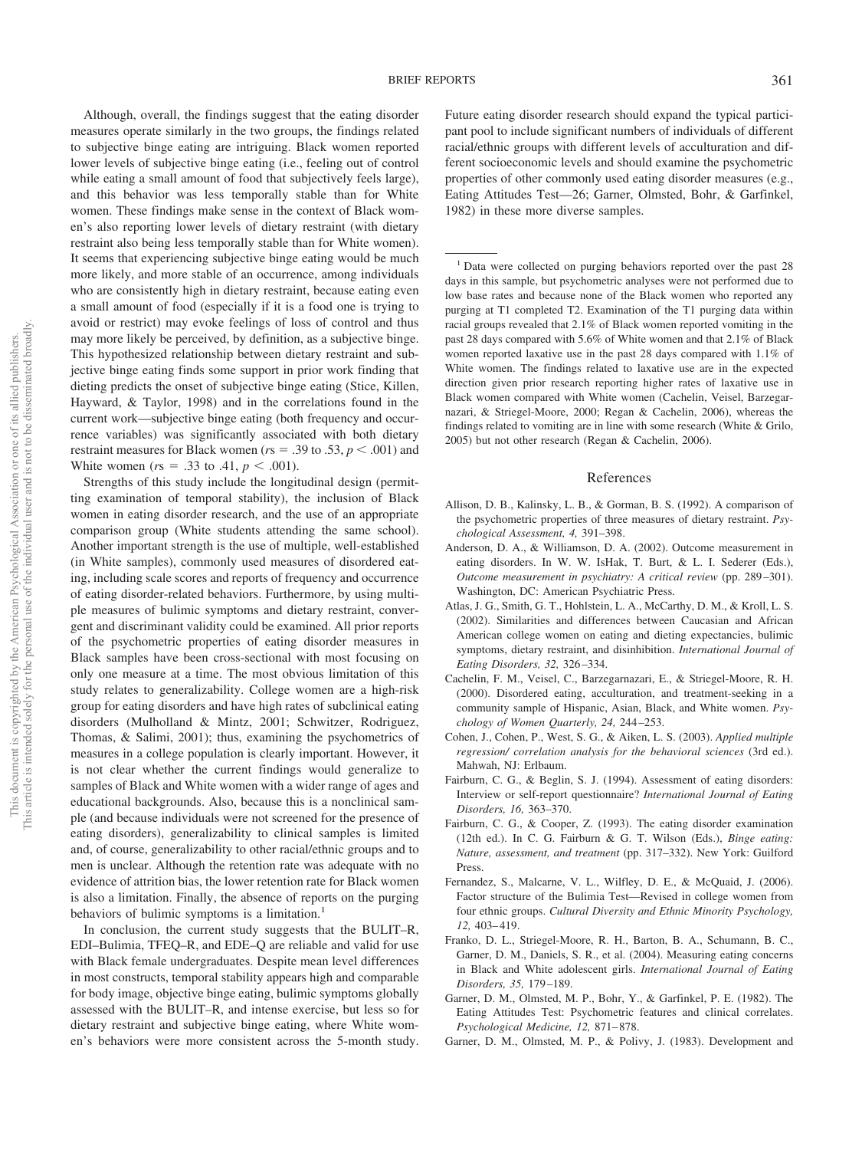Although, overall, the findings suggest that the eating disorder measures operate similarly in the two groups, the findings related to subjective binge eating are intriguing. Black women reported lower levels of subjective binge eating (i.e., feeling out of control while eating a small amount of food that subjectively feels large), and this behavior was less temporally stable than for White women. These findings make sense in the context of Black women's also reporting lower levels of dietary restraint (with dietary restraint also being less temporally stable than for White women). It seems that experiencing subjective binge eating would be much more likely, and more stable of an occurrence, among individuals who are consistently high in dietary restraint, because eating even a small amount of food (especially if it is a food one is trying to avoid or restrict) may evoke feelings of loss of control and thus may more likely be perceived, by definition, as a subjective binge. This hypothesized relationship between dietary restraint and subjective binge eating finds some support in prior work finding that dieting predicts the onset of subjective binge eating (Stice, Killen, Hayward, & Taylor, 1998) and in the correlations found in the current work—subjective binge eating (both frequency and occurrence variables) was significantly associated with both dietary restraint measures for Black women ( $rs = .39$  to  $.53, p < .001$ ) and White women ( $rs = .33$  to .41,  $p < .001$ ).

Strengths of this study include the longitudinal design (permitting examination of temporal stability), the inclusion of Black women in eating disorder research, and the use of an appropriate comparison group (White students attending the same school). Another important strength is the use of multiple, well-established (in White samples), commonly used measures of disordered eating, including scale scores and reports of frequency and occurrence of eating disorder-related behaviors. Furthermore, by using multiple measures of bulimic symptoms and dietary restraint, convergent and discriminant validity could be examined. All prior reports of the psychometric properties of eating disorder measures in Black samples have been cross-sectional with most focusing on only one measure at a time. The most obvious limitation of this study relates to generalizability. College women are a high-risk group for eating disorders and have high rates of subclinical eating disorders (Mulholland & Mintz, 2001; Schwitzer, Rodriguez, Thomas, & Salimi, 2001); thus, examining the psychometrics of measures in a college population is clearly important. However, it is not clear whether the current findings would generalize to samples of Black and White women with a wider range of ages and educational backgrounds. Also, because this is a nonclinical sample (and because individuals were not screened for the presence of eating disorders), generalizability to clinical samples is limited and, of course, generalizability to other racial/ethnic groups and to men is unclear. Although the retention rate was adequate with no evidence of attrition bias, the lower retention rate for Black women is also a limitation. Finally, the absence of reports on the purging behaviors of bulimic symptoms is a limitation.<sup>1</sup>

In conclusion, the current study suggests that the BULIT–R, EDI–Bulimia, TFEQ–R, and EDE–Q are reliable and valid for use with Black female undergraduates. Despite mean level differences in most constructs, temporal stability appears high and comparable for body image, objective binge eating, bulimic symptoms globally assessed with the BULIT–R, and intense exercise, but less so for dietary restraint and subjective binge eating, where White women's behaviors were more consistent across the 5-month study.

Future eating disorder research should expand the typical participant pool to include significant numbers of individuals of different racial/ethnic groups with different levels of acculturation and different socioeconomic levels and should examine the psychometric properties of other commonly used eating disorder measures (e.g., Eating Attitudes Test—26; Garner, Olmsted, Bohr, & Garfinkel, 1982) in these more diverse samples.

<sup>1</sup> Data were collected on purging behaviors reported over the past 28 days in this sample, but psychometric analyses were not performed due to low base rates and because none of the Black women who reported any purging at T1 completed T2. Examination of the T1 purging data within racial groups revealed that 2.1% of Black women reported vomiting in the past 28 days compared with 5.6% of White women and that 2.1% of Black women reported laxative use in the past 28 days compared with 1.1% of White women. The findings related to laxative use are in the expected direction given prior research reporting higher rates of laxative use in Black women compared with White women (Cachelin, Veisel, Barzegarnazari, & Striegel-Moore, 2000; Regan & Cachelin, 2006), whereas the findings related to vomiting are in line with some research (White & Grilo, 2005) but not other research (Regan & Cachelin, 2006).

#### References

- Allison, D. B., Kalinsky, L. B., & Gorman, B. S. (1992). A comparison of the psychometric properties of three measures of dietary restraint. *Psychological Assessment, 4,* 391–398.
- Anderson, D. A., & Williamson, D. A. (2002). Outcome measurement in eating disorders. In W. W. IsHak, T. Burt, & L. I. Sederer (Eds.), *Outcome measurement in psychiatry: A critical review* (pp. 289 –301). Washington, DC: American Psychiatric Press.
- Atlas, J. G., Smith, G. T., Hohlstein, L. A., McCarthy, D. M., & Kroll, L. S. (2002). Similarities and differences between Caucasian and African American college women on eating and dieting expectancies, bulimic symptoms, dietary restraint, and disinhibition. *International Journal of Eating Disorders, 32,* 326 –334.
- Cachelin, F. M., Veisel, C., Barzegarnazari, E., & Striegel-Moore, R. H. (2000). Disordered eating, acculturation, and treatment-seeking in a community sample of Hispanic, Asian, Black, and White women. *Psychology of Women Quarterly, 24,* 244 –253.
- Cohen, J., Cohen, P., West, S. G., & Aiken, L. S. (2003). *Applied multiple regression/ correlation analysis for the behavioral sciences* (3rd ed.). Mahwah, NJ: Erlbaum.
- Fairburn, C. G., & Beglin, S. J. (1994). Assessment of eating disorders: Interview or self-report questionnaire? *International Journal of Eating Disorders, 16,* 363–370.
- Fairburn, C. G., & Cooper, Z. (1993). The eating disorder examination (12th ed.). In C. G. Fairburn & G. T. Wilson (Eds.), *Binge eating: Nature, assessment, and treatment* (pp. 317–332). New York: Guilford Press.
- Fernandez, S., Malcarne, V. L., Wilfley, D. E., & McQuaid, J. (2006). Factor structure of the Bulimia Test—Revised in college women from four ethnic groups. *Cultural Diversity and Ethnic Minority Psychology, 12,* 403– 419.
- Franko, D. L., Striegel-Moore, R. H., Barton, B. A., Schumann, B. C., Garner, D. M., Daniels, S. R., et al. (2004). Measuring eating concerns in Black and White adolescent girls. *International Journal of Eating Disorders, 35,* 179 –189.
- Garner, D. M., Olmsted, M. P., Bohr, Y., & Garfinkel, P. E. (1982). The Eating Attitudes Test: Psychometric features and clinical correlates. *Psychological Medicine, 12,* 871– 878.
- Garner, D. M., Olmsted, M. P., & Polivy, J. (1983). Development and